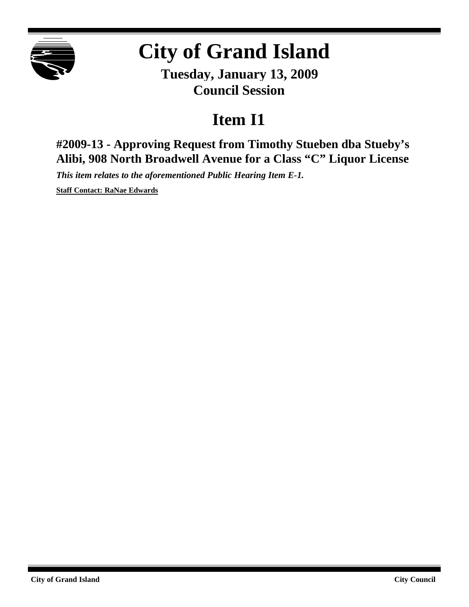

## **City of Grand Island**

**Tuesday, January 13, 2009 Council Session**

## **Item I1**

**#2009-13 - Approving Request from Timothy Stueben dba Stueby's Alibi, 908 North Broadwell Avenue for a Class "C" Liquor License**

*This item relates to the aforementioned Public Hearing Item E-1.*

**Staff Contact: RaNae Edwards**